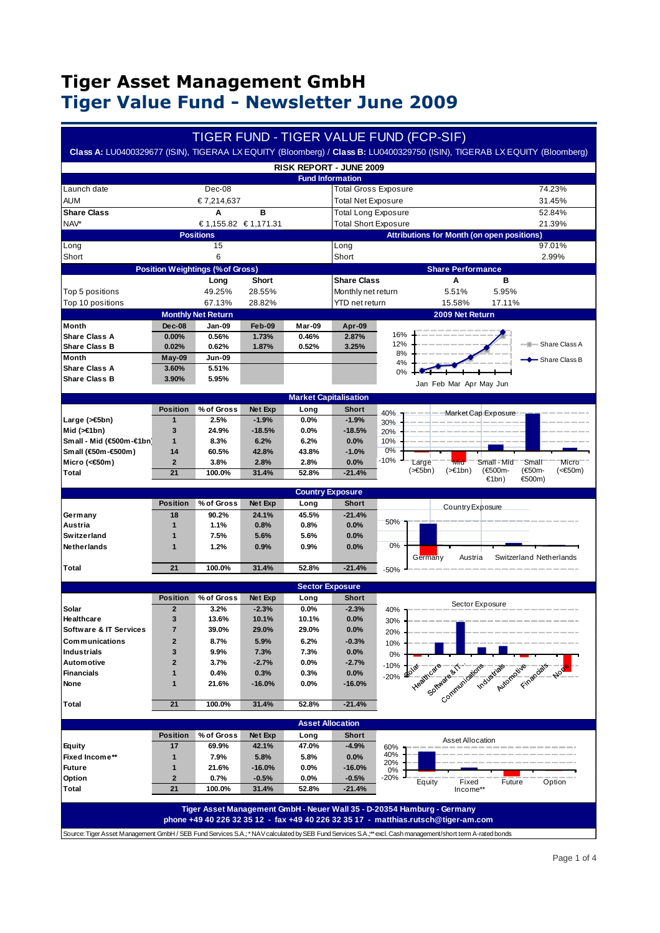|                                         |                              |                                           |                  |                                |                             |            | TIGER FUND - TIGER VALUE FUND (FCP-SIF)                                                                                                                                                                                                           |
|-----------------------------------------|------------------------------|-------------------------------------------|------------------|--------------------------------|-----------------------------|------------|---------------------------------------------------------------------------------------------------------------------------------------------------------------------------------------------------------------------------------------------------|
|                                         |                              |                                           |                  |                                |                             |            | Class A: LU0400329677 (ISIN), TIGERAA LX EQUITY (Bloomberg) / Class B: LU0400329750 (ISIN), TIGERAB LX EQUITY (Bloomberg)                                                                                                                         |
|                                         |                              |                                           |                  | <b>RISK REPORT - JUNE 2009</b> |                             |            |                                                                                                                                                                                                                                                   |
|                                         |                              |                                           |                  | <b>Fund Information</b>        |                             |            |                                                                                                                                                                                                                                                   |
| Launch date                             |                              | Dec-08                                    |                  |                                | <b>Total Gross Exposure</b> |            | 74.23%                                                                                                                                                                                                                                            |
| <b>AUM</b>                              |                              | € 7,214,637                               |                  |                                | <b>Total Net Exposure</b>   |            | 31.45%                                                                                                                                                                                                                                            |
| <b>Share Class</b>                      |                              | A                                         | в                |                                | <b>Total Long Exposure</b>  |            | 52.84%                                                                                                                                                                                                                                            |
| NAV*                                    |                              | € 1,155.82 € 1,171.31<br><b>Positions</b> |                  |                                | <b>Total Short Exposure</b> |            | 21.39%                                                                                                                                                                                                                                            |
| Long                                    |                              | 15                                        |                  |                                | Long                        |            | <b>Attributions for Month (on open positions)</b><br>97.01%                                                                                                                                                                                       |
| Short                                   |                              | 6                                         |                  |                                | Short                       |            | 2.99%                                                                                                                                                                                                                                             |
|                                         |                              | <b>Position Weightings (% of Gross)</b>   |                  |                                |                             |            | <b>Share Performance</b>                                                                                                                                                                                                                          |
|                                         |                              | Long                                      | Short            |                                | <b>Share Class</b>          |            | в<br>Α                                                                                                                                                                                                                                            |
| Top 5 positions                         |                              | 49.25%                                    | 28.55%           |                                | Monthly net return          |            | 5.51%<br>5.95%                                                                                                                                                                                                                                    |
| Top 10 positions                        |                              | 67.13%                                    | 28.82%           |                                | YTD net return              |            | 15.58%<br>17.11%                                                                                                                                                                                                                                  |
|                                         |                              | <b>Monthly Net Return</b>                 |                  |                                |                             |            | 2009 Net Return                                                                                                                                                                                                                                   |
| Month                                   | Dec-08                       | Jan-09                                    | Feb-09           | <b>Mar-09</b>                  | Apr-09                      |            |                                                                                                                                                                                                                                                   |
| <b>Share Class A</b>                    | 0.00%                        | 0.56%                                     | 1.73%            | 0.46%                          | 2.87%                       | 16%        |                                                                                                                                                                                                                                                   |
| <b>Share Class B</b>                    | 0.02%                        | 0.62%                                     | 1.87%            | 0.52%                          | 3.25%                       | 12%<br>8%  | - Share Class A                                                                                                                                                                                                                                   |
| Month                                   | May-09                       | Jun-09                                    |                  |                                |                             | 4%         | Share Class B                                                                                                                                                                                                                                     |
| <b>Share Class A</b>                    | 3.60%                        | 5.51%                                     |                  |                                |                             | 0%         |                                                                                                                                                                                                                                                   |
| <b>Share Class B</b>                    | 3.90%                        | 5.95%                                     |                  |                                |                             |            | Jan Feb Mar Apr May Jun                                                                                                                                                                                                                           |
|                                         |                              |                                           |                  | <b>Market Capitalisation</b>   |                             |            |                                                                                                                                                                                                                                                   |
|                                         | <b>Position</b>              | % of Gross                                | Net Exp          | Long                           | Short                       | 40%        | Market Cap Exposure                                                                                                                                                                                                                               |
| Large (>€5bn)                           | 1                            | 2.5%                                      | $-1.9%$          | 0.0%                           | $-1.9%$                     | 30%        |                                                                                                                                                                                                                                                   |
| Mid $(>=1bn)$                           | 3                            | 24.9%                                     | $-18.5%$         | 0.0%                           | $-18.5%$                    | 20%        |                                                                                                                                                                                                                                                   |
| Small - Mid (€500m-€1br                 | 1                            | 8.3%                                      | 6.2%             | 6.2%                           | 0.0%                        | 10%        |                                                                                                                                                                                                                                                   |
| Small (€50m-€500m)                      | 14<br>$\overline{2}$         | 60.5%                                     | 42.8%            | 43.8%                          | $-1.0%$                     | 0%<br>-10% |                                                                                                                                                                                                                                                   |
| Micro (<€50m)<br>Total                  | 21                           | 3.8%<br>100.0%                            | 2.8%<br>31.4%    | 2.8%<br>52.8%                  | 0.0%<br>$-21.4%$            |            | Large<br>Small<br>Micro<br>Mid<br>Small - Mid<br>(>€5bn)<br>$(>=1bn)$<br>(€50m-<br>(€500m-<br>$(<\epsilon$ 50m)                                                                                                                                   |
|                                         |                              |                                           |                  |                                |                             |            | €1bn)<br>€500m)                                                                                                                                                                                                                                   |
|                                         |                              |                                           |                  |                                |                             |            |                                                                                                                                                                                                                                                   |
|                                         |                              |                                           |                  |                                | <b>Country Exposure</b>     |            |                                                                                                                                                                                                                                                   |
|                                         | <b>Position</b>              | % of Gross                                | Net Exp          | Long                           | Short                       |            | Country Exposure                                                                                                                                                                                                                                  |
| Germany                                 | 18                           | 90.2%                                     | 24.1%            | 45.5%                          | $-21.4%$                    |            |                                                                                                                                                                                                                                                   |
| Austria                                 | $\mathbf{1}$                 | 1.1%                                      | 0.8%             | 0.8%                           | 0.0%                        | 50%        |                                                                                                                                                                                                                                                   |
| <b>Switzerland</b>                      | $\mathbf{1}$                 | 7.5%                                      | 5.6%             | 5.6%                           | 0.0%                        |            |                                                                                                                                                                                                                                                   |
| Netherlands                             | 1                            | 1.2%                                      | 0.9%             | 0.9%                           | 0.0%                        | 0%         |                                                                                                                                                                                                                                                   |
|                                         |                              |                                           |                  |                                | $-21.4%$                    |            | Switzerland Netherlands<br>Austria<br>Germany                                                                                                                                                                                                     |
| Total                                   | 21                           | 100.0%                                    | 31.4%            | 52.8%                          |                             | $-50%$     |                                                                                                                                                                                                                                                   |
|                                         |                              |                                           |                  | <b>Sector Exposure</b>         |                             |            |                                                                                                                                                                                                                                                   |
|                                         | <b>Position</b>              | % of Gross                                | Net Exp          | Long                           | <b>Short</b>                |            |                                                                                                                                                                                                                                                   |
| Solar                                   | $\overline{2}$               | 3.2%                                      | $-2.3%$          | 0.0%                           | $-2.3%$                     | 40%        | Sector Exposure                                                                                                                                                                                                                                   |
| Healthcare                              | 3                            | 13.6%                                     | 10.1%            | 10.1%                          | 0.0%                        | 30%        |                                                                                                                                                                                                                                                   |
| Software & IT Services                  |                              | 39.0%                                     | 29.0%            | 29.0%                          | 0.0%                        | 20%        |                                                                                                                                                                                                                                                   |
| Communications                          | $\mathbf{2}$                 | 8.7%                                      | 5.9%             | 6.2%                           | $-0.3%$                     | 10%        |                                                                                                                                                                                                                                                   |
| <b>Industrials</b><br><b>Automotive</b> | 3<br>$\overline{\mathbf{2}}$ | 9.9%<br>3.7%                              | 7.3%<br>$-2.7%$  | 7.3%<br>$0.0\%$                | 0.0%<br>$-2.7%$             | 0%         |                                                                                                                                                                                                                                                   |
| <b>Financials</b>                       | 1                            | 0.4%                                      | 0.3%             | 0.3%                           | 0.0%                        | $-10%$     |                                                                                                                                                                                                                                                   |
| None                                    | 1                            | 21.6%                                     | -16.0%           | $0.0\%$                        | $-16.0%$                    | $-20%$     |                                                                                                                                                                                                                                                   |
|                                         |                              |                                           |                  |                                |                             |            |                                                                                                                                                                                                                                                   |
| Total                                   | 21                           | 100.0%                                    | 31.4%            | 52.8%                          | $-21.4%$                    |            | Helide Contact of the Contact of Contact of Contact of Contact of Contact of Contact of Contact of Contact of Contact of Contact of Contact of Contact of Contact of Contact of Contact of Contact of Contact of Contact of Co                    |
|                                         |                              |                                           |                  |                                |                             |            |                                                                                                                                                                                                                                                   |
|                                         |                              |                                           |                  | <b>Asset Allocation</b>        |                             |            |                                                                                                                                                                                                                                                   |
| <b>Equity</b>                           | Position<br>17               | % of Gross<br>69.9%                       | Net Exp<br>42.1% | Long<br>47.0%                  | Short<br>$-4.9%$            |            | Asset Allocation                                                                                                                                                                                                                                  |
| Fixed Income**                          | 1                            | 7.9%                                      | 5.8%             | 5.8%                           | $0.0\%$                     | 60%<br>40% |                                                                                                                                                                                                                                                   |
| <b>Future</b>                           | 1                            | 21.6%                                     | $-16.0%$         | $0.0\%$                        | $-16.0%$                    | 20%<br>0%  |                                                                                                                                                                                                                                                   |
| Option                                  | $\mathbf{2}$                 | 0.7%                                      | -0.5%            | $0.0\%$                        | $-0.5%$                     | -20%       | Equity<br>Fixed<br>Future<br>Option                                                                                                                                                                                                               |
| Total                                   | 21                           | 100.0%                                    | 31.4%            | 52.8%                          | $-21.4%$                    |            | Income**                                                                                                                                                                                                                                          |
|                                         |                              |                                           |                  |                                |                             |            |                                                                                                                                                                                                                                                   |
|                                         |                              |                                           |                  |                                |                             |            | Tiger Asset Management GmbH - Neuer Wall 35 - D-20354 Hamburg - Germany                                                                                                                                                                           |
|                                         |                              |                                           |                  |                                |                             |            | phone +49 40 226 32 35 12 - fax +49 40 226 32 35 17 - matthias.rutsch@tiger-am.com<br>Source: Tiger Asset Management GmbH / SEB Fund Services S.A.; * NAV calculated by SEB Fund Services S.A.; ** excl. Cash management/short term A-rated bonds |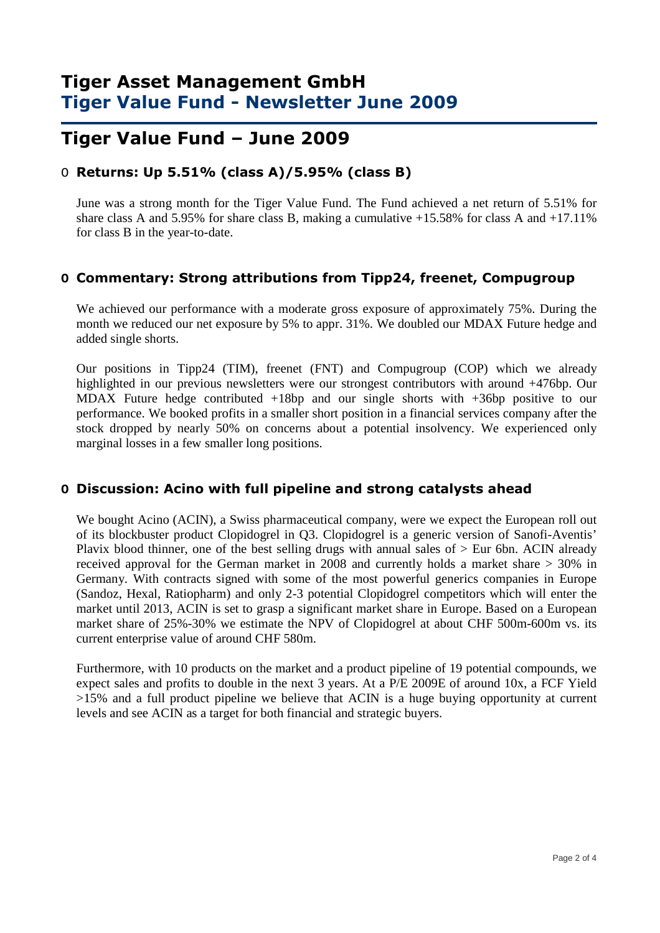### **Tiger Value Fund – June 2009**

### O **Returns: Up 5.51% (class A)/5.95% (class B)**

June was a strong month for the Tiger Value Fund. The Fund achieved a net return of 5.51% for share class A and 5.95% for share class B, making a cumulative  $+15.58\%$  for class A and  $+17.11\%$ for class B in the year-to-date.

#### **O Commentary: Strong attributions from Tipp24, freenet, Compugroup**

We achieved our performance with a moderate gross exposure of approximately 75%. During the month we reduced our net exposure by 5% to appr. 31%. We doubled our MDAX Future hedge and added single shorts.

Our positions in Tipp24 (TIM), freenet (FNT) and Compugroup (COP) which we already highlighted in our previous newsletters were our strongest contributors with around +476bp. Our MDAX Future hedge contributed +18bp and our single shorts with +36bp positive to our performance. We booked profits in a smaller short position in a financial services company after the stock dropped by nearly 50% on concerns about a potential insolvency. We experienced only marginal losses in a few smaller long positions.

#### **O Discussion: Acino with full pipeline and strong catalysts ahead**

We bought Acino (ACIN), a Swiss pharmaceutical company, were we expect the European roll out of its blockbuster product Clopidogrel in Q3. Clopidogrel is a generic version of Sanofi-Aventis' Plavix blood thinner, one of the best selling drugs with annual sales of > Eur 6bn. ACIN already received approval for the German market in 2008 and currently holds a market share > 30% in Germany. With contracts signed with some of the most powerful generics companies in Europe (Sandoz, Hexal, Ratiopharm) and only 2-3 potential Clopidogrel competitors which will enter the market until 2013, ACIN is set to grasp a significant market share in Europe. Based on a European market share of 25%-30% we estimate the NPV of Clopidogrel at about CHF 500m-600m vs. its current enterprise value of around CHF 580m.

Furthermore, with 10 products on the market and a product pipeline of 19 potential compounds, we expect sales and profits to double in the next 3 years. At a P/E 2009E of around 10x, a FCF Yield  $>15\%$  and a full product pipeline we believe that ACIN is a huge buying opportunity at current levels and see ACIN as a target for both financial and strategic buyers.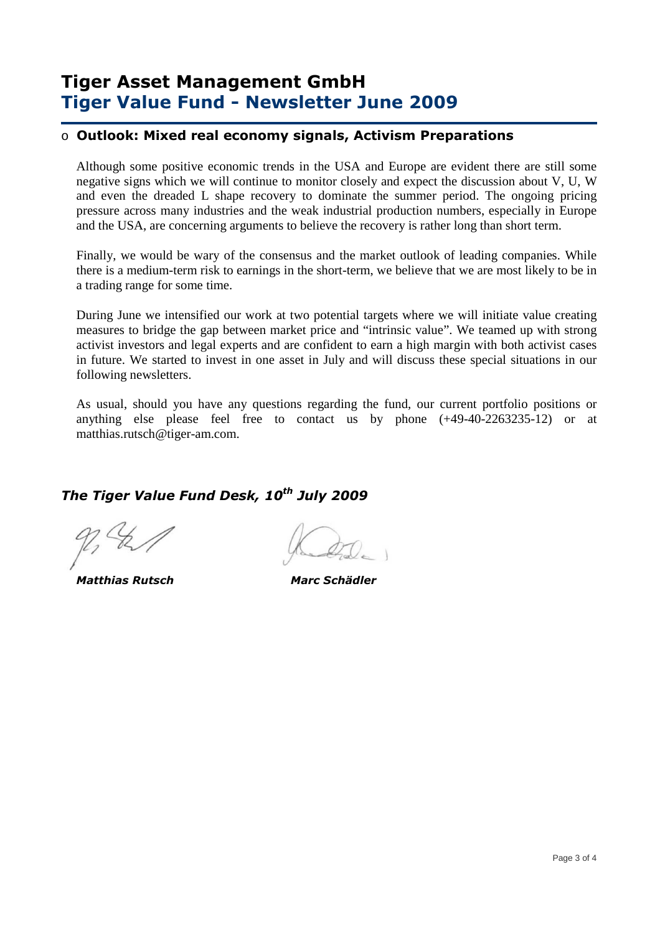### o **Outlook: Mixed real economy signals, Activism Preparations**

Although some positive economic trends in the USA and Europe are evident there are still some negative signs which we will continue to monitor closely and expect the discussion about V, U, W and even the dreaded L shape recovery to dominate the summer period. The ongoing pricing pressure across many industries and the weak industrial production numbers, especially in Europe and the USA, are concerning arguments to believe the recovery is rather long than short term.

Finally, we would be wary of the consensus and the market outlook of leading companies. While there is a medium-term risk to earnings in the short-term, we believe that we are most likely to be in a trading range for some time.

During June we intensified our work at two potential targets where we will initiate value creating measures to bridge the gap between market price and "intrinsic value". We teamed up with strong activist investors and legal experts and are confident to earn a high margin with both activist cases in future. We started to invest in one asset in July and will discuss these special situations in our following newsletters.

As usual, should you have any questions regarding the fund, our current portfolio positions or anything else please feel free to contact us by phone (+49-40-2263235-12) or at matthias.rutsch@tiger-am.com.

### *The Tiger Value Fund Desk, 10th July 2009*

 *Matthias Rutsch Marc Schädler*